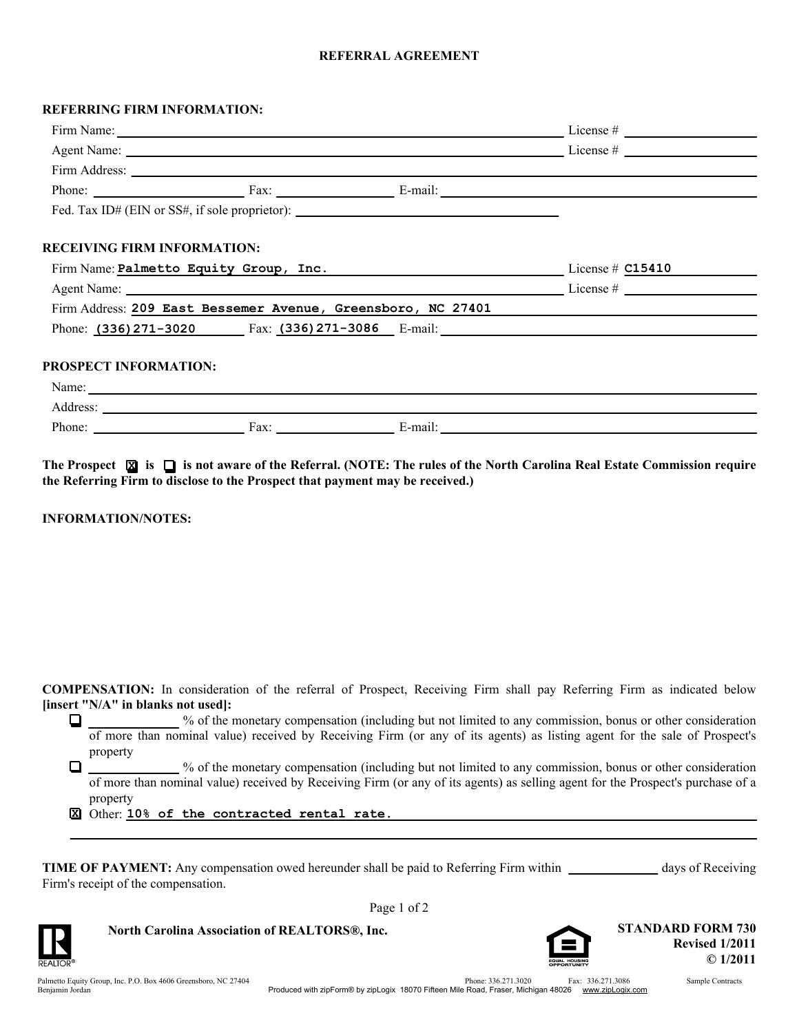## **REFERRAL AGREEMENT**

## **REFERRING FIRM INFORMATION:**

|                                                                                                                                                                                                                               |  |                                                                                   | Firm Address: <u>New York: Andress:</u> New York: 1988. The Second State of the Second State of the Second State of the Second State of the Second State of the Second State of the Second State of the Second State of the Second |
|-------------------------------------------------------------------------------------------------------------------------------------------------------------------------------------------------------------------------------|--|-----------------------------------------------------------------------------------|------------------------------------------------------------------------------------------------------------------------------------------------------------------------------------------------------------------------------------|
|                                                                                                                                                                                                                               |  |                                                                                   | Phone: Fax: Fax: E-mail: E-mail:                                                                                                                                                                                                   |
|                                                                                                                                                                                                                               |  | Fed. Tax ID# (EIN or SS#, if sole proprietor): __________________________________ |                                                                                                                                                                                                                                    |
|                                                                                                                                                                                                                               |  |                                                                                   |                                                                                                                                                                                                                                    |
| <b>RECEIVING FIRM INFORMATION:</b>                                                                                                                                                                                            |  |                                                                                   |                                                                                                                                                                                                                                    |
| Firm Name: Palmetto Equity Group, Inc. License # C15410                                                                                                                                                                       |  |                                                                                   |                                                                                                                                                                                                                                    |
| Agent Name: License # License # License # License # License # License # License # License # License # License # License # License # License # License # License # License # License # License # License # License # License # |  |                                                                                   |                                                                                                                                                                                                                                    |
|                                                                                                                                                                                                                               |  |                                                                                   | Firm Address: 209 East Bessemer Avenue, Greensboro, NC 27401                                                                                                                                                                       |
|                                                                                                                                                                                                                               |  |                                                                                   | Phone: $(336)$ 271-3020 Fax: $(336)$ 271-3086 E-mail:                                                                                                                                                                              |
|                                                                                                                                                                                                                               |  |                                                                                   |                                                                                                                                                                                                                                    |
| <b>PROSPECT INFORMATION:</b>                                                                                                                                                                                                  |  |                                                                                   |                                                                                                                                                                                                                                    |
|                                                                                                                                                                                                                               |  | Name: Name:                                                                       |                                                                                                                                                                                                                                    |
|                                                                                                                                                                                                                               |  |                                                                                   |                                                                                                                                                                                                                                    |
|                                                                                                                                                                                                                               |  |                                                                                   |                                                                                                                                                                                                                                    |

**The Prospect is X is not aware of the Referral. (NOTE: The rules of the North Carolina Real Estate Commission require the Referring Firm to disclose to the Prospect that payment may be received.)**

**INFORMATION/NOTES:**

**COMPENSATION:** In consideration of the referral of Prospect, Receiving Firm shall pay Referring Firm as indicated below **[insert "N/A" in blanks not used]:**

% of the monetary compensation (including but not limited to any commission, bonus or other consideration . of more than nominal value) received by Receiving Firm (or any of its agents) as listing agent for the sale of Prospect's property

 $\Box$ % of the monetary compensation (including but not limited to any commission, bonus or other consideration of more than nominal value) received by Receiving Firm (or any of its agents) as selling agent for the Prospect's purchase of a property

Other: **X 10% of the contracted rental rate.**

| <b>TIME OF PAYMENT:</b> Any compensation owed hereunder shall be paid to Referring Firm within | days of Receiving |
|------------------------------------------------------------------------------------------------|-------------------|
| Firm's receipt of the compensation.                                                            |                   |

Page 1 of 2



**North Carolina Association of REALTORS®, Inc.**

Palmetto Equity Group, Inc. P.O. Box 4606 Greensboro, NC 27404 336.271.3020 336.271.3020 336.271.3086 Sample Contracts Benjamin Jordan

**Revised 1/2011**

**© 1/2011**

**STANDARD FORM 730**